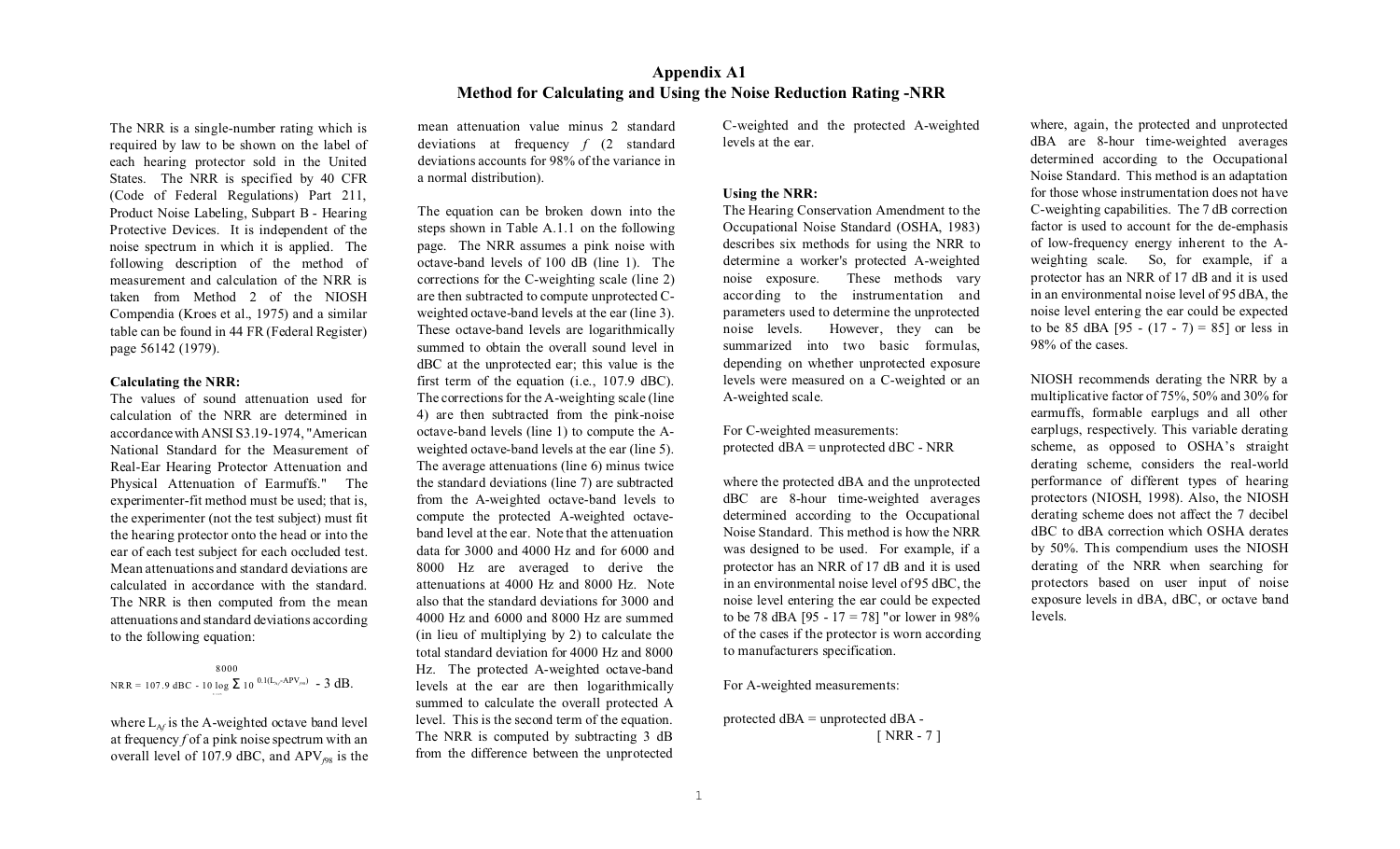# **Appendix A1 Method for Calculating and Using the Noise Reduction Rating -NRR**

The NRR is a single-number rating which is required by law to be shown on the label of each hearing protector sold in the United States. The NRR is specified by 40 CFR (Code of Federal Regulations) Part 211, Product Noise Labeling, Subpart B - Hearing Protective Devices. It is independent of the noise spectrum in which it is applied. The following description of the method of measurement and calculation of the NRR is taken from Method 2 of the NIOSH Compendia (Kroes et al., 1975) and a similar table can be found in 44 FR (Federal Register) page 56142 (1979).

#### **Calculating the NRR:**

The values of sound attenuation used for calculation of the NRR are determined in accordancewith ANSI S3.19-1974, "American National Standard for the Measurement of Real-Ear Hearing Protector Attenuation and Physical Attenuation of Earmuffs." The experimenter-fit method must be used; that is, the experimenter (not the test subject) must fit the hearing protector onto the head or into the ear of each test subject for each occluded test. Mean attenuations and standard deviations are calculated in accordance with the standard. The NRR is then computed from the mean attenuations and standard deviations according to the following equation:

#### 8000  $NRR = 107.9$  dBC - 10 log 10  $^{0.1(L_{A_f}APV_{ps})}$  - 3 dB. f=125

where  $L_{\rm Af}$  is the A-weighted octave band level at frequency *f* of a pink noise spectrum with an overall level of 107.9 dBC, and APV<sub>*f98*</sub> is the mean attenuation value minus 2 standard deviations at frequency *f* (2 standard deviations accounts for 98% of the variance in a normal distribution).

The equation can be broken down into the steps shown in Table A.1.1 on the following page. The NRR assumes a pink noise with octave-band levels of 100 dB (line 1). The corrections for the C-weighting scale (line 2) are then subtracted to compute unprotected Cweighted octave-band levels at the ear (line 3). These octave-band levels are logarithmically summed to obtain the overall sound level in dBC at the unprotected ear; this value is the first term of the equation (i.e., 107.9 dBC). The corrections for the A-weighting scale (line 4) are then subtracted from the pink-noise octave-band levels (line 1) to compute the Aweighted octave-band levels at the ear (line 5). The average attenuations (line 6) minus twice the standard deviations (line 7) are subtracted from the A-weighted octave-band levels to compute the protected A-weighted octaveband level at the ear. Note that the attenuation data for 3000 and 4000 Hz and for 6000 and 8000 Hz are averaged to derive the attenuations at 4000 Hz and 8000 Hz. Note also that the standard deviations for 3000 and 4000 Hz and 6000 and 8000 Hz are summed (in lieu of multiplying by 2) to calculate the total standard deviation for 4000 Hz and 8000 Hz. The protected A-weighted octave-band levels at the ear are then logarithmically summed to calculate the overall protected A level. This is the second term of the equation. The NRR is computed by subtracting 3 dB from the difference between the unprotected

C-weighted and the protected A-weighted levels at the ear.

### **Using the NRR:**

The Hearing Conservation Amendment to the Occupational Noise Standard (OSHA, 1983) describes six methods for using the NRR to determine a worker's protected A-weighted noise exposure. These methods vary according to the instrumentation and parameters used to determine the unprotected noise levels. However, they can be summarized into two basic formulas, depending on whether unprotected exposure levels were measured on a C-weighted or an A-weighted scale.

For C-weighted measurements: protected dBA = unprotected dBC - NRR

where the protected dBA and the unprotected dBC are 8-hour time-weighted averages determined according to the Occupational Noise Standard. This method is how the NRR was designed to be used. For example, if a protector has an NRR of 17 dB and it is used in an environmental noise level of 95 dBC, the noise level entering the ear could be expected to be 78 dBA [95 - 17 = 78] "or lower in 98% of the cases if the protector is worn according to manufacturers specification.

For A-weighted measurements:

protected dBA = unprotected dBA - [ NRR - 7 ]

where, again, the protected and unprotected dBA are 8-hour time-weighted averages determined according to the Occupational Noise Standard. This method is an adaptation for those whose instrumentation does not have C-weighting capabilities. The 7 dB correction factor is used to account for the de-emphasis of low-frequency energy inherent to the Aweighting scale. So, for example, if a protector has an NRR of 17 dB and it is used in an environmental noise level of 95 dBA, the noise level entering the ear could be expected to be 85 dBA  $[95 - (17 - 7) = 85]$  or less in 98% of the cases.

NIOSH recommends derating the NRR by a multiplicative factor of 75%, 50% and 30% for earmuffs, formable earplugs and all other earplugs, respectively. This variable derating scheme, as opposed to OSHA's straight derating scheme, considers the real-world performance of different types of hearing protectors (NIOSH, 1998). Also, the NIOSH derating scheme does not affect the 7 decibel dBC to dBA correction which OSHA derates by 50%. This compendium uses the NIOSH derating of the NRR when searching for protectors based on user input of noise exposure levels in dBA, dBC, or octave band levels.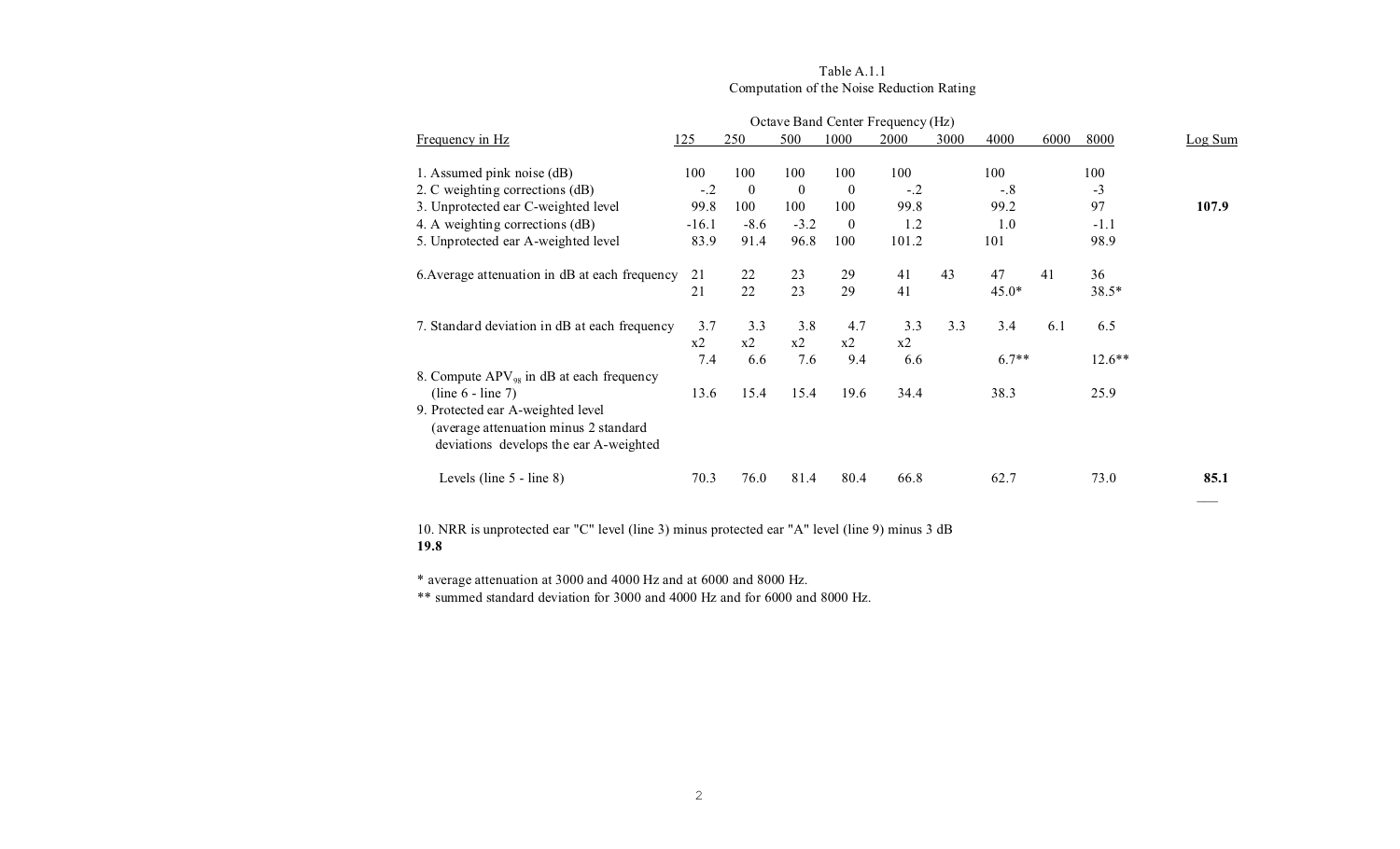## Table A.1.1 Computation of the Noise Reduction Rating

|                                                |         |          |              |                | Octave Band Center Frequency (Hz) |      |         |      |          |         |
|------------------------------------------------|---------|----------|--------------|----------------|-----------------------------------|------|---------|------|----------|---------|
| Frequency in Hz                                | 125     | 250      | 500          | 1000           | 2000                              | 3000 | 4000    | 6000 | 8000     | Log Sum |
| 1. Assumed pink noise (dB)                     | 100     | 100      | 100          | 100            | 100                               |      | 100     |      | 100      |         |
| 2. C weighting corrections (dB)                | $-.2$   | $\theta$ | $\mathbf{0}$ | $\mathbf{0}$   | $-.2$                             |      | $-.8$   |      | $-3$     |         |
| 3. Unprotected ear C-weighted level            | 99.8    | 100      | 100          | 100            | 99.8                              |      | 99.2    |      | 97       | 107.9   |
| 4. A weighting corrections (dB)                | $-16.1$ | $-8.6$   | $-3.2$       | $\overline{0}$ | 1.2                               |      | 1.0     |      | $-1.1$   |         |
| 5. Unprotected ear A-weighted level            | 83.9    | 91.4     | 96.8         | 100            | 101.2                             |      | 101     |      | 98.9     |         |
| 6. Average attenuation in dB at each frequency | 21      | 22       | 23           | 29             | 41                                | 43   | 47      | 41   | 36       |         |
|                                                | 21      | 22       | 23           | 29             | 41                                |      | $45.0*$ |      | $38.5*$  |         |
| 7. Standard deviation in dB at each frequency  | 3.7     | 3.3      | 3.8          | 4.7            | 3.3                               | 3.3  | 3.4     | 6.1  | 6.5      |         |
|                                                | x2      | x2       | x2           | x2             | x2                                |      |         |      |          |         |
|                                                | 7.4     | 6.6      | 7.6          | 9.4            | 6.6                               |      | $6.7**$ |      | $12.6**$ |         |
| 8. Compute $APV_{98}$ in dB at each frequency  |         |          |              |                |                                   |      |         |      |          |         |
| $(line 6 - line 7)$                            | 13.6    | 15.4     | 15.4         | 19.6           | 34.4                              |      | 38.3    |      | 25.9     |         |
| 9. Protected ear A-weighted level              |         |          |              |                |                                   |      |         |      |          |         |
| (average attenuation minus 2 standard          |         |          |              |                |                                   |      |         |      |          |         |
| deviations develops the ear A-weighted         |         |          |              |                |                                   |      |         |      |          |         |
| Levels (line 5 - line 8)                       | 70.3    | 76.0     | 81.4         | 80.4           | 66.8                              |      | 62.7    |      | 73.0     | 85.1    |
|                                                |         |          |              |                |                                   |      |         |      |          |         |

10. NRR is unprotected ear "C" level (line 3) minus protected ear "A" level (line 9) minus 3 dB **19.8**

\* average attenuation at 3000 and 4000 Hz and at 6000 and 8000 Hz.

\*\* summed standard deviation for 3000 and 4000 Hz and for 6000 and 8000 Hz.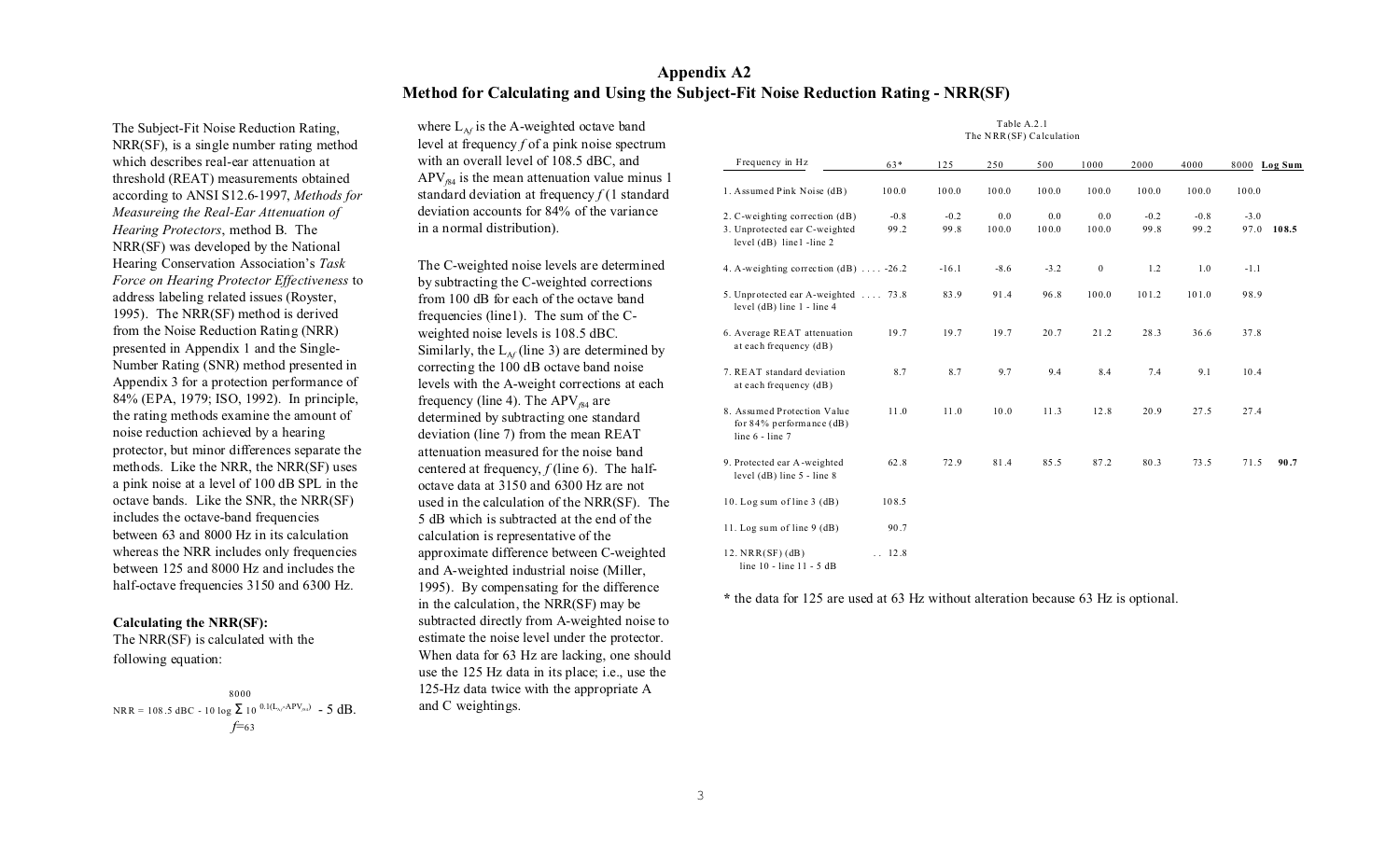# **Appendix A2 Method for Calculating and Using the Subject-Fit Noise Reduction Rating - NRR(SF)**

The Subject-Fit Noise Reduction Rating, NRR(SF), is a single number rating method which describes real-ear attenuation at threshold (REAT) measurements obtained according to ANSI S12.6-1997, *Methods for Measureing the Real-Ear Attenuation of Hearing Protectors*, method B. The NRR(SF) was developed by the National Hearing Conservation Association's *Task Force on Hearing Protector Effectiveness* to address labeling related issues (Royster, 1995). The NRR(SF) method is derived from the Noise Reduction Rating (NRR) presented in Appendix 1 and the Single-Number Rating (SNR) method presented in Appendix 3 for a protection performance of 84% (EPA, 1979; ISO, 1992). In principle, the rating methods examine the amount of noise reduction achieved by a hearing protector, but minor differences separate the methods. Like the NRR, the NRR(SF) uses a pink noise at a level of 100 dB SPL in the octave bands. Like the SNR, the NRR(SF) includes the octave-band frequencies between 63 and 8000 Hz in its calculation whereas the NRR includes only frequencies between 125 and 8000 Hz and includes the half-octave frequencies 3150 and 6300 Hz.

### **Calculating the NRR(SF):**

The NRR(SF) is calculated with the following equation:

 8000  $NRR = 108.5$  dBC - 10 log 10  $^{0.1(L_{A,f}APV_{f84})}$  - 5 dB. *f*=<sup>63</sup>

where  $L_{\text{A}f}$  is the A-weighted octave band level at frequency *f* of a pink noise spectrum with an overall level of 108.5 dBC, and  $APV<sub>BA</sub>$  is the mean attenuation value minus 1 standard deviation at frequency *f* (1 standard deviation accounts for 84% of the variance in a normal distribution).

The C-weighted noise levels are determined by subtracting the C-weighted corrections from 100 dB for each of the octave band frequencies (line1). The sum of the Cweighted noise levels is 108.5 dBC. Similarly, the  $L_{\text{A}f}$  (line 3) are determined by correcting the 100 dB octave band noise levels with the A-weight corrections at each frequency (line 4). The APV<sub><sup>84</sub></sup> are</sub> determined by subtracting one standard deviation (line 7) from the mean REAT attenuation measured for the noise band centered at frequency, *f* (line 6). The halfoctave data at 3150 and 6300 Hz are not used in the calculation of the NRR(SF). The 5 dB which is subtracted at the end of the calculation is representative of the approximate difference between C-weighted and A-weighted industrial noise (Miller, 1995). By compensating for the difference in the calculation, the NRR(SF) may be subtracted directly from A-weighted noise to estimate the noise level under the protector. When data for 63 Hz are lacking, one should use the 125 Hz data in its place; i.e., use the 125-Hz data twice with the appropriate A and C weightings.

| Frequency in Hz                                                                 | $63*$  | 125     | 250    | 500    | 1000     | 2000   | 4000   |        | 8000 Log Sum |
|---------------------------------------------------------------------------------|--------|---------|--------|--------|----------|--------|--------|--------|--------------|
| 1. Assumed Pink Noise (dB)                                                      | 100.0  | 100.0   | 100.0  | 100.0  | 100.0    | 100.0  | 100.0  | 100.0  |              |
| 2. C-weighting correction (dB)                                                  | $-0.8$ | $-0.2$  | 0.0    | 0.0    | 0.0      | $-0.2$ | $-0.8$ | $-3.0$ |              |
| 3. Unprotected ear C-weighted<br>level $(dB)$ line1 -line 2                     | 99.2   | 99.8    | 100.0  | 100.0  | 100.0    | 99.8   | 99.2   | 97.0   | 108.5        |
| 4. A-weighting correction $(dB)$ -26.2                                          |        | $-16.1$ | $-8.6$ | $-3.2$ | $\bf{0}$ | 1.2    | 1.0    | $-1.1$ |              |
| 5. Unprotected ear A-weighted  73.8<br>level $(dB)$ line 1 - line 4             |        | 83.9    | 91.4   | 96.8   | 100.0    | 101.2  | 101.0  | 98.9   |              |
| 6. Average REAT attenuation<br>at each frequency (dB)                           | 19.7   | 19.7    | 19.7   | 20.7   | 21.2     | 28.3   | 36.6   | 37.8   |              |
| 7. REAT standard deviation<br>at each frequency (dB)                            | 8.7    | 8.7     | 9.7    | 9.4    | 8.4      | 7.4    | 9.1    | 10.4   |              |
| 8. Assumed Protection Value<br>for $84\%$ performance (dB)<br>line $6 - line 7$ | 11.0   | 11.0    | 10.0   | 11.3   | 12.8     | 20.9   | 27.5   | 27.4   |              |
| 9. Protected ear A-weighted<br>level $(dB)$ line 5 - line 8                     | 62.8   | 72.9    | 81.4   | 85.5   | 87.2     | 80.3   | 73.5   | 71.5   | 90.7         |
| 10. Log sum of line $3$ (dB)                                                    | 108.5  |         |        |        |          |        |        |        |              |
| 11. Log sum of line $9$ (dB)                                                    | 90.7   |         |        |        |          |        |        |        |              |
| $12. NRR(SF)$ (dB)<br>line 10 - line 11 - 5 dB                                  | . 12.8 |         |        |        |          |        |        |        |              |

#### **\*** the data for 125 are used at 63 Hz without alteration because 63 Hz is optional.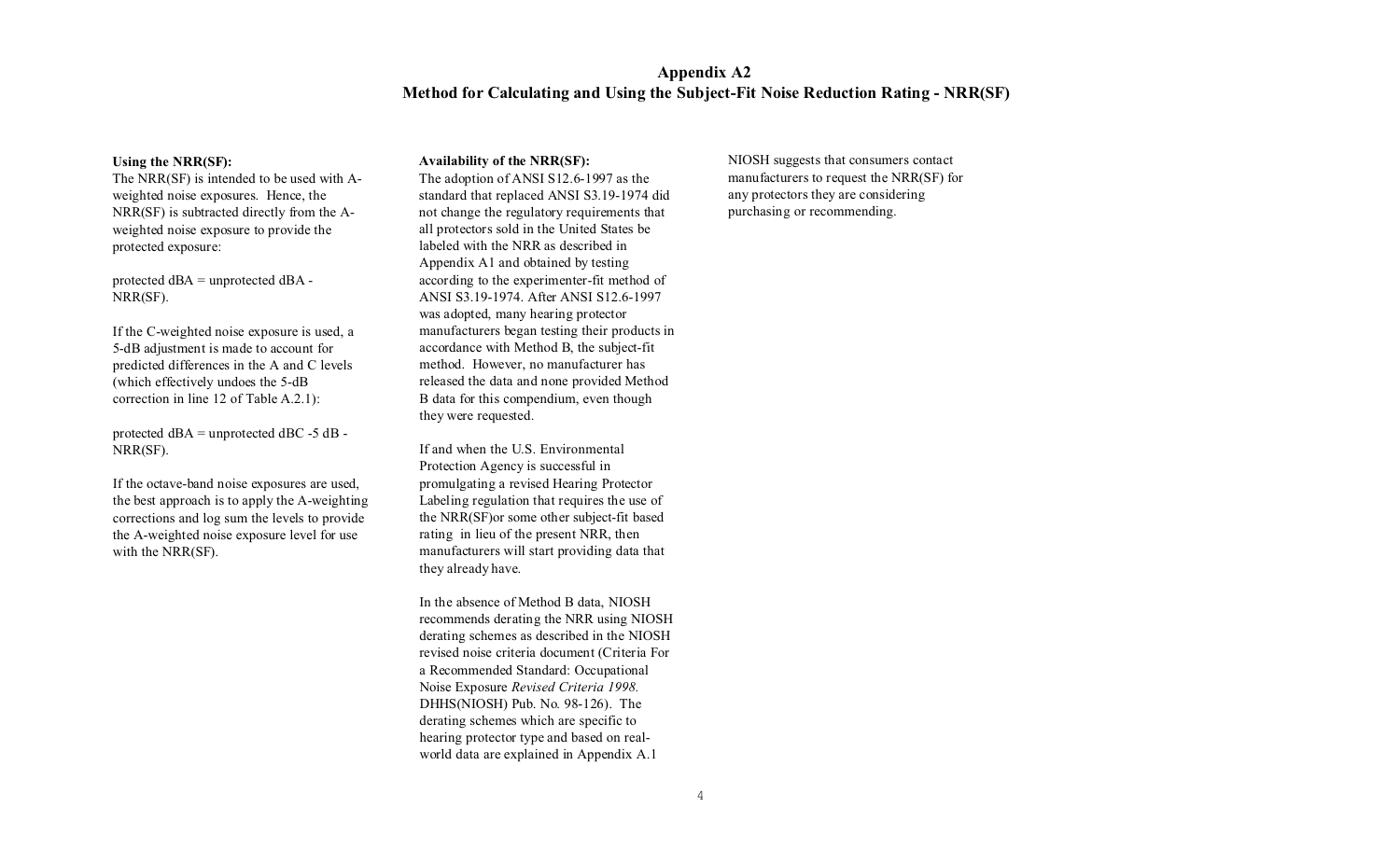# **Appendix A2 Method for Calculating and Using the Subject-Fit Noise Reduction Rating - NRR(SF)**

### **Using the NRR(SF):**

The NRR(SF) is intended to be used with Aweighted noise exposures. Hence, the NRR(SF) is subtracted directly from the Aweighted noise exposure to provide the protected exposure:

protected dBA = unprotected dBA - NRR(SF).

If the C-weighted noise exposure is used, a 5-dB adjustment is made to account for predicted differences in the A and C levels (which effectively undoes the 5-dB correction in line 12 of Table A.2.1):

protected  $dBA$  = unprotected  $dBC -5$   $dB -$ NRR(SF).

If the octave-band noise exposures are used, the best approach is to apply the A-weighting corrections and log sum the levels to provide the A-weighted noise exposure level for use with the NRR(SF).

### **Availability of the NRR(SF):**

The adoption of ANSI S12.6-1997 as the standard that replaced ANSI S3.19-1974 did not change the regulatory requirements that all protectors sold in the United States be labeled with the NRR as described in Appendix A1 and obtained by testing according to the experimenter-fit method of ANSI S3.19-1974. After ANSI S12.6-1997 was adopted, many hearing protector manufacturers began testing their products in accordance with Method B, the subject-fit method. However, no manufacturer has released the data and none provided Method B data for this compendium, even though they were requested.

If and when the U.S. Environmental Protection Agency is successful in promulgating a revised Hearing Protector Labeling regulation that requires the use of the NRR(SF)or some other subject-fit based rating in lieu of the present NRR, then manufacturers will start providing data that they already have.

In the absence of Method B data, NIOSH recommends derating the NRR using NIOSH derating schemes as described in the NIOSH revised noise criteria document (Criteria For a Recommended Standard: Occupational Noise Exposure *Revised Criteria 1998.* DHHS(NIOSH) Pub. No. 98-126). The derating schemes which are specific to hearing protector type and based on realworld data are explained in Appendix A.1

NIOSH suggests that consumers contact manufacturers to request the NRR(SF) for any protectors they are considering purchasing or recommending.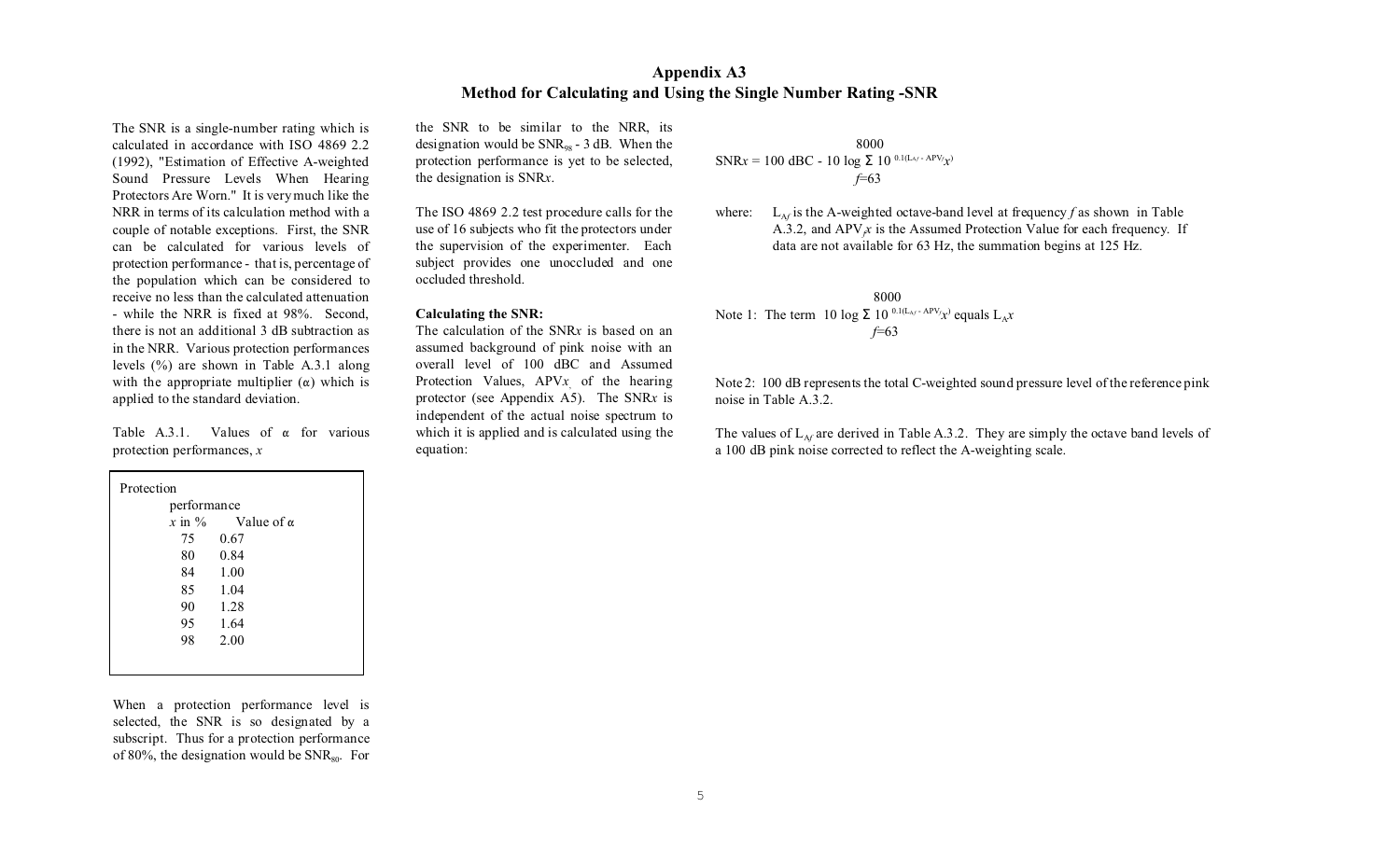# **Appendix A3 Method for Calculating and Using the Single Number Rating -SNR**

The SNR is a single-number rating which is calculated in accordance with ISO 4869 2.2 (1992), "Estimation of Effective A-weighted Sound Pressure Levels When Hearing Protectors Are Worn." It is very much like the NRR in terms of its calculation method with a couple of notable exceptions. First, the SNR can be calculated for various levels of protection performance - that is, percentage of the population which can be considered to receive no less than the calculated attenuation - while the NRR is fixed at 98%. Second, there is not an additional 3 dB subtraction as in the NRR. Various protection performances levels (%) are shown in Table A.3.1 along with the appropriate multiplier  $(\alpha)$  which is applied to the standard deviation.

Table A.3.1. Values of  $\alpha$  for various protection performances, *x*

| Protection  |                   |  |  |  |  |  |  |  |  |  |
|-------------|-------------------|--|--|--|--|--|--|--|--|--|
| performance |                   |  |  |  |  |  |  |  |  |  |
| $x$ in $\%$ | Value of $\alpha$ |  |  |  |  |  |  |  |  |  |
| 75          | 0.67              |  |  |  |  |  |  |  |  |  |
| 80          | 0.84              |  |  |  |  |  |  |  |  |  |
| 84          | 1.00              |  |  |  |  |  |  |  |  |  |
| 85          | 1.04              |  |  |  |  |  |  |  |  |  |
| 90          | 1.28              |  |  |  |  |  |  |  |  |  |
| 95          | 1.64              |  |  |  |  |  |  |  |  |  |
| 98          | 2.00              |  |  |  |  |  |  |  |  |  |
|             |                   |  |  |  |  |  |  |  |  |  |
|             |                   |  |  |  |  |  |  |  |  |  |

When a protection performance level is selected, the SNR is so designated by a subscript. Thus for a protection performance of 80%, the designation would be  $SNR_{80}$ . For

the SNR to be similar to the NRR, its designation would be  $SNR_{98}$  - 3 dB. When the protection performance is yet to be selected, the designation is SNR*x*.

The ISO 4869 2.2 test procedure calls for the use of 16 subjects who fit the protectors under the supervision of the experimenter. Each subject provides one unoccluded and one occluded threshold.

### **Calculating the SNR:**

The calculation of the SNR*x* is based on an assumed background of pink noise with an overall level of 100 dBC and Assumed Protection Values, APV*x*, of the hearing protector (see Appendix A5). The SNR*x* is independent of the actual noise spectrum to which it is applied and is calculated using the equation:

$$
8000
$$
  
SNRx = 100 dBC - 10 log 10<sup>0.1(L<sub>Af</sub> - APV<sub>fX</sub>)  
 $f=63$</sup> 

where:  $L_{\text{A}f}$  is the A-weighted octave-band level at frequency *f* as shown in Table A.3.2, and  $APV$ <sub> $\alpha$ </sub> is the Assumed Protection Value for each frequency. If data are not available for 63 Hz, the summation begins at 125 Hz.

 8000 Note 1: The term 10  $log$ *x*<sup> $\alpha$ </sup> equals  $L_A x$ *f*=63

Note 2: 100 dB represents the total C-weighted sound pressure level of the reference pink noise in Table A.3.2.

The values of  $L_{\rm A}$  are derived in Table A.3.2. They are simply the octave band levels of a 100 dB pink noise corrected to reflect the A-weighting scale.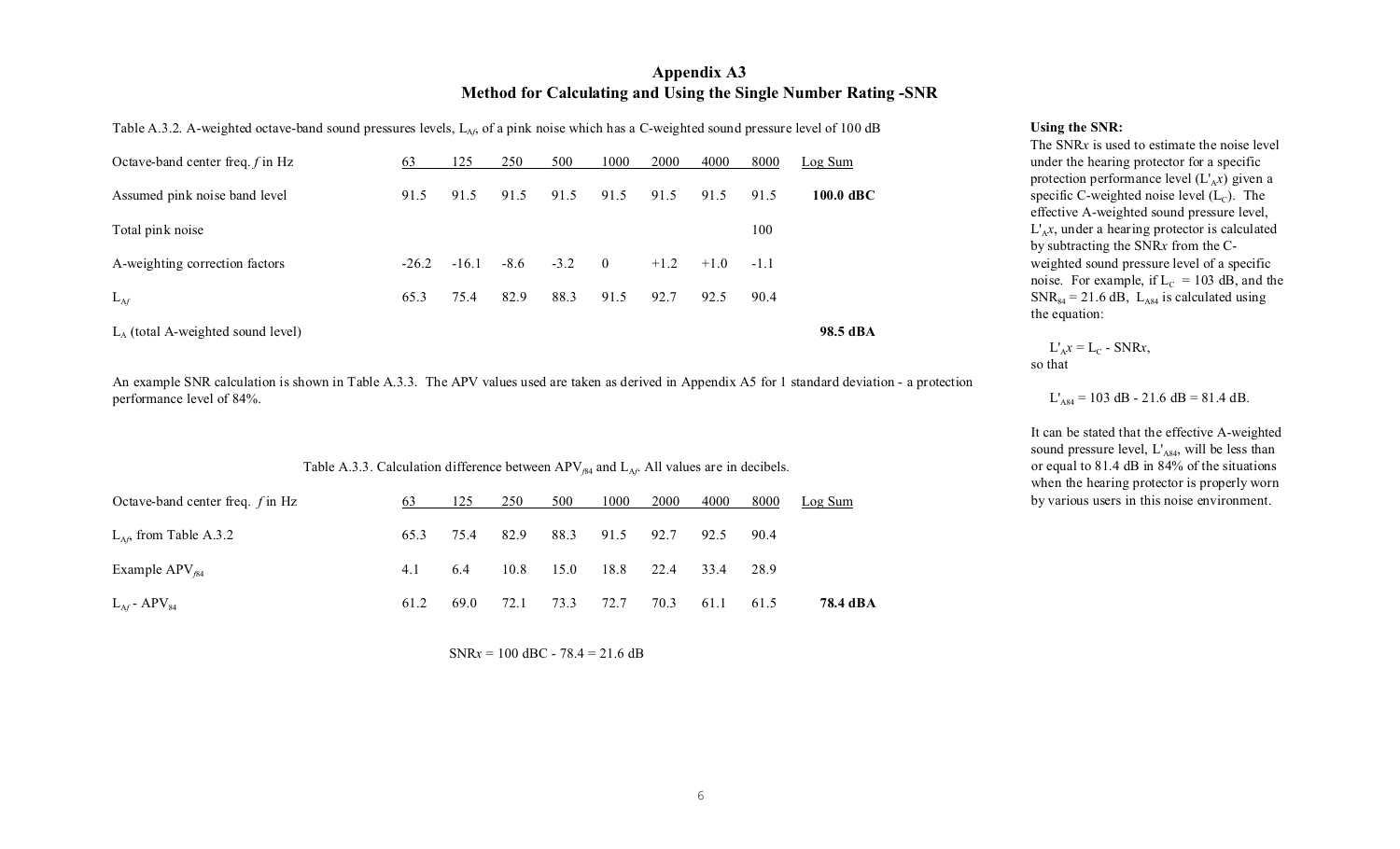# **Appendix A3 Method for Calculating and Using the Single Number Rating -SNR**

Table A.3.2. A-weighted octave-band sound pressures levels, L<sub>Af</sub>, of a pink noise which has a C-weighted sound pressure level of 100 dB

| Octave-band center freq. $f$ in Hz  | 63      | 125     | 250    | 500    | 1000           | 2000   | 4000   | 8000   | Log Sum   |
|-------------------------------------|---------|---------|--------|--------|----------------|--------|--------|--------|-----------|
| Assumed pink noise band level       | 91.5    | 91.5    | 91.5   | 91.5   | 91.5           | 91.5   | 91.5   | 91.5   | 100.0 dBC |
| Total pink noise                    |         |         |        |        |                |        |        | 100    |           |
| A-weighting correction factors      | $-26.2$ | $-16.1$ | $-8.6$ | $-3.2$ | $\overline{0}$ | $+1.2$ | $+1.0$ | $-1.1$ |           |
| $L_{\rm Af}$                        | 65.3    | 75.4    | 82.9   | 88.3   | 91.5           | 92.7   | 92.5   | 90.4   |           |
| $LA$ (total A-weighted sound level) |         |         |        |        |                |        |        |        | 98.5 dBA  |

An example SNR calculation is shown in Table A.3.3. The APV values used are taken as derived in Appendix A5 for 1 standard deviation - a protection performance level of 84%.

Table A.3.3. Calculation difference between  $APV_{fs4}$  and  $L_{Af}$ . All values are in decibels.

| Octave-band center freq. $f$ in Hz | 63   | 125  | 250  | 500  | 1000 | 2000 | 4000 | 8000 | Log Sum  |
|------------------------------------|------|------|------|------|------|------|------|------|----------|
| $L_{Af}$ , from Table A.3.2        | 65.3 | 75.4 | 82.9 | 88.3 | 91.5 | 92.7 | 92.5 | 90.4 |          |
| Example $APV_{.84}$                | 4.1  | 6.4  | 10.8 | 15.0 | 18.8 | 22.4 | 33.4 | 28.9 |          |
| $L_{\rm Af}$ - APV <sub>84</sub>   | 61.2 | 69.0 | 72.1 | 73.3 | 72.7 | 70.3 | 61.1 | 61.5 | 78.4 dBA |

 $SNRx = 100$  dBC - 78.4 = 21.6 dB

### **Using the SNR:**

The SNR*x* is used to estimate the noise level under the hearing protector for a specific protection performance level  $(L'_{A}x)$  given a specific C-weighted noise level  $(L<sub>C</sub>)$ . The effective A-weighted sound pressure level,  $L'_{A}x$ , under a hearing protector is calculated by subtracting the SNR*x* from the Cweighted sound pressure level of a specific noise. For example, if  $L_C = 103$  dB, and the  $SNR_{84} = 21.6$  dB,  $L_{484}$  is calculated using the equation:

 $L'_{A}x = L_{C}$  - SNR*x*, so that

 $L'_{A84} = 103$  dB - 21.6 dB = 81.4 dB.

It can be stated that the effective A-weighted sound pressure level,  $L'_{A84}$ , will be less than or equal to 81.4 dB in 84% of the situations when the hearing protector is properly worn by various users in this noise environment.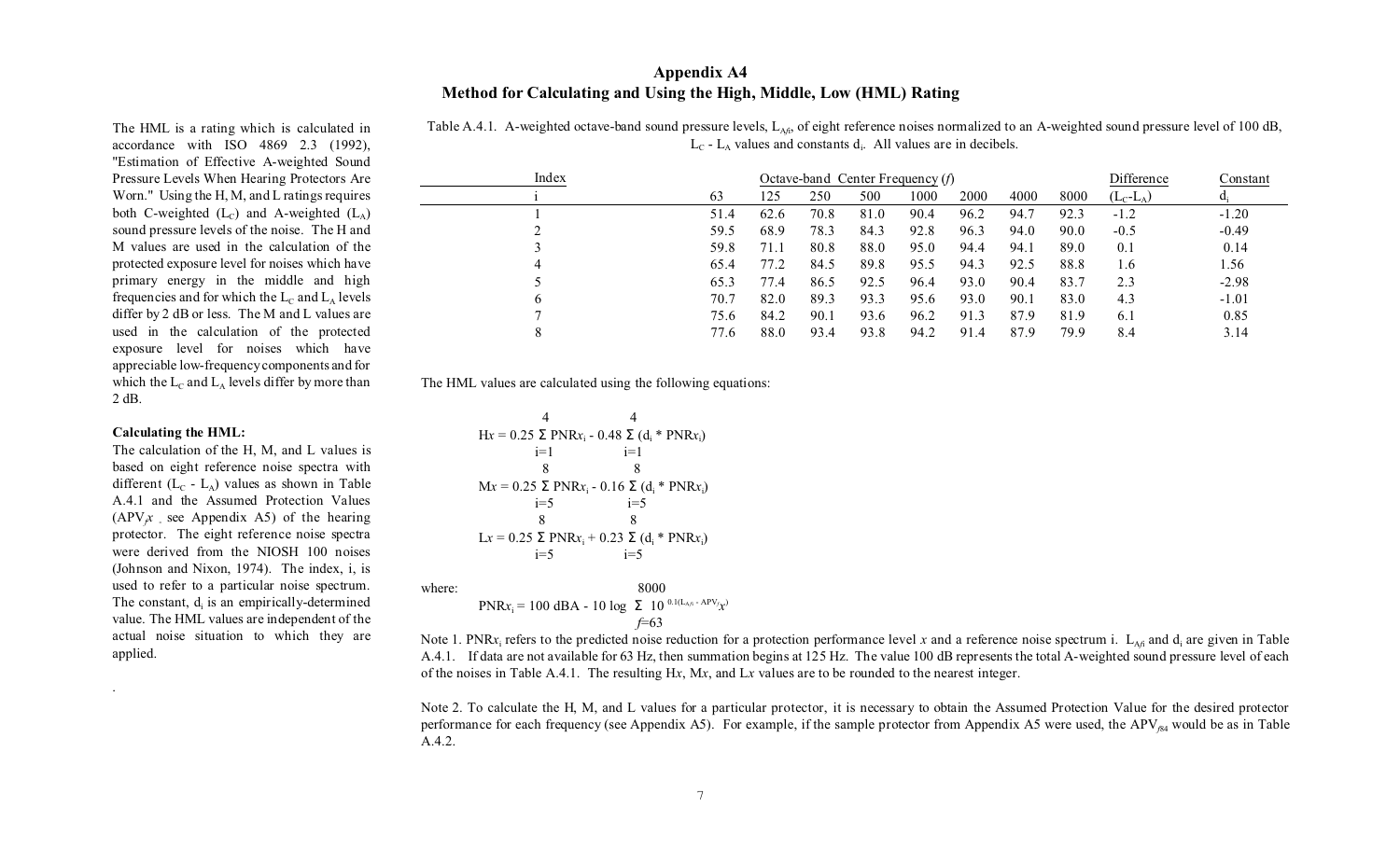# **Appendix A4 Method for Calculating and Using the High, Middle, Low (HML) Rating**

The HML is a rating which is calculated in accordance with ISO 4869 2.3 (1992), "Estimation of Effective A-weighted Sound Pressure Levels When Hearing Protectors Are Worn." Using the H, M, and L ratings requires both C-weighted  $(L<sub>c</sub>)$  and A-weighted  $(L<sub>A</sub>)$ sound pressure levels of the noise. The H and M values are used in the calculation of the protected exposure level for noises which have primary energy in the middle and high frequencies and for which the  $L_c$  and  $L_A$  levels differ by 2 dB or less. The M and L values are used in the calculation of the protected exposure level for noises which have appreciable low-frequency components and for which the  $L_c$  and  $L_A$  levels differ by more than 2 dB.

#### **Calculating the HML:**

.

The calculation of the H, M, and L values is based on eight reference noise spectra with different  $(L<sub>C</sub> - L<sub>A</sub>)$  values as shown in Table A.4.1 and the Assumed Protection Values  $(APV<sub>x</sub>$ , see Appendix A5) of the hearing protector. The eight reference noise spectra were derived from the NIOSH 100 noises (Johnson and Nixon, 1974). The index, i, is used to refer to a particular noise spectrum. The constant,  $d_i$  is an empirically-determined value. The HML values are independent of the actual noise situation to which they are applied.

Table A.4.1. A-weighted octave-band sound pressure levels, L<sub>Afi</sub>, of eight reference noises normalized to an A-weighted sound pressure level of 100 dB,  $L_c$  -  $L_A$  values and constants  $d_i$ . All values are in decibels.

| Index |      |      |      |      | Octave-band Center Frequency $(f)$ |      | Difference | Constant |             |         |
|-------|------|------|------|------|------------------------------------|------|------------|----------|-------------|---------|
|       | 63   | 125  | 250  | 500  | 1000                               | 2000 | 4000       | 8000     | $(L_C-L_A)$ |         |
|       | 51.4 | 62.6 | 70.8 | 81.0 | 90.4                               | 96.2 | 94.7       | 92.3     | $-1.2$      | $-1.20$ |
|       | 59.5 | 68.9 | 78.3 | 84.3 | 92.8                               | 96.3 | 94.0       | 90.0     | $-0.5$      | $-0.49$ |
|       | 59.8 | 71.1 | 80.8 | 88.0 | 95.0                               | 94.4 | 94.1       | 89.0     | 0.1         | 0.14    |
| 4     | 65.4 | 77.2 | 84.5 | 89.8 | 95.5                               | 94.3 | 92.5       | 88.8     | 1.6         | 1.56    |
|       | 65.3 | 77.4 | 86.5 | 92.5 | 96.4                               | 93.0 | 90.4       | 83.7     | 2.3         | $-2.98$ |
| O     | 70.7 | 82.0 | 89.3 | 93.3 | 95.6                               | 93.0 | 90.1       | 83.0     | 4.3         | $-1.01$ |
|       | 75.6 | 84.2 | 90.1 | 93.6 | 96.2                               | 91.3 | 87.9       | 81.9     | 6.1         | 0.85    |
| 8     | 77.6 | 88.0 | 93.4 | 93.8 | 94.2                               | 91.4 | 87.9       | 79.9     | 8.4         | 3.14    |

The HML values are calculated using the following equations:

$$
Hx = 0.25 \text{ PNR}x_i - 0.48 \quad (d_i * PNRx_i)
$$
  
\n
$$
i=1
$$
  
\n
$$
8
$$
  
\n
$$
Mx = 0.25 \text{ PNR}x_i - 0.16 \quad (d_i * PNRx_i)
$$
  
\n
$$
i=5
$$
  
\n
$$
Lx = 0.25 \text{ PNR}x_i + 0.23 \quad (d_i * PNRx_i)
$$
  
\n
$$
i=5
$$
  
\n
$$
i=5
$$

where: 8000

$$
PNRx_i = 100 \text{ dBA} - 10 \log \frac{10^{0.1(L_{A/i} - APV_{f\chi})}}{f=63}
$$

Note 1. PNR $x_i$  refers to the predicted noise reduction for a protection performance level x and a reference noise spectrum i.  $L_{Afi}$  and  $d_i$  are given in Table A.4.1. If data are not available for 63 Hz, then summation begins at 125 Hz. The value 100 dB represents the total A-weighted sound pressure level of each of the noises in Table A.4.1. The resulting H*x*, M*x*, and L*x* values are to be rounded to the nearest integer.

Note 2. To calculate the H, M, and L values for a particular protector, it is necessary to obtain the Assumed Protection Value for the desired protector performance for each frequency (see Appendix A5). For example, if the sample protector from Appendix A5 were used, the  $APV<sub>64</sub>$  would be as in Table A.4.2.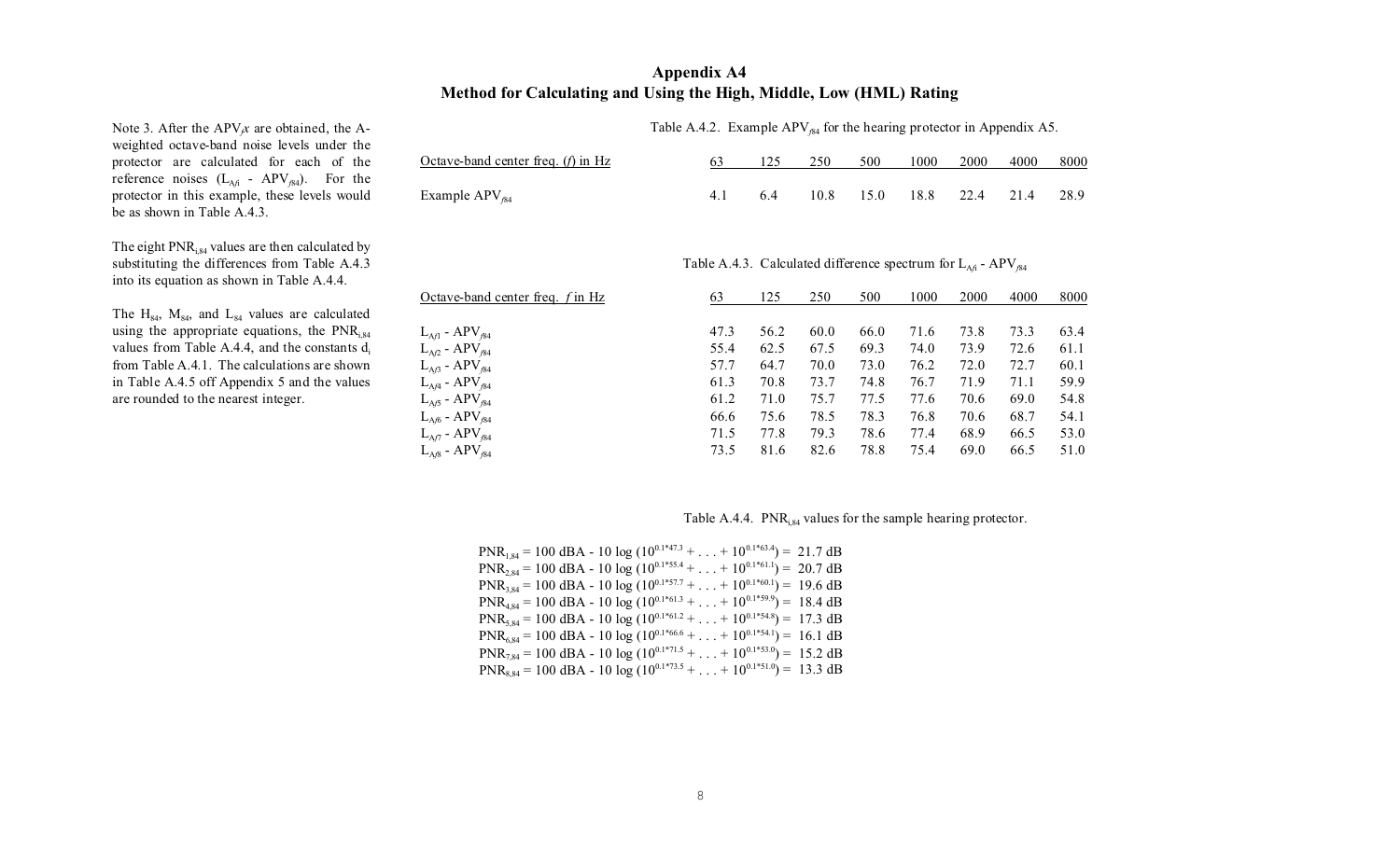# **Appendix A4 Method for Calculating and Using the High, Middle, Low (HML) Rating**

Note 3. After the APV<sub> $f$ </sub>*x* are obtained, the Aweighted octave-band noise levels under the protector are calculated for each of the reference noises  $(L_{Af_i} - APV_{f84})$ . For the protector in this example, these levels would be as shown in Table A.4.3.

The eight  $PNR<sub>i,84</sub>$  values are then calculated by substituting the differences from Table A.4.3 into its equation as shown in Table A.4.4.

The  $H<sub>84</sub>$ ,  $M<sub>84</sub>$ , and  $L<sub>84</sub>$  values are calculated using the appropriate equations, the  $PNR_{1,84}$ values from Table A.4.4, and the constants  $d_i$ from Table A.4.1. The calculations are shown in Table A.4.5 off Appendix 5 and the values are rounded to the nearest integer.

Table A.4.2. Example APV<sub>*f*84</sub> for the hearing protector in Appendix A5.

| Octave-band center freq. $(f)$ in Hz | 125 | 250 | 500 | 1000 2000 | 4000                          | 8000 |
|--------------------------------------|-----|-----|-----|-----------|-------------------------------|------|
| Example $APV_{64}$                   | 6.4 |     |     |           | 10.8 15.0 18.8 22.4 21.4 28.9 |      |

Table A.4.3. Calculated difference spectrum for L<sub>Afi</sub> - APV<sub>f84</sub>

| Octave-band center freq. f in Hz            | 63   | 125  | 250  | 500  | 1000 | 2000 | 4000 | 8000 |
|---------------------------------------------|------|------|------|------|------|------|------|------|
|                                             |      |      |      |      |      |      |      |      |
| $L_{Af1}$ - APV <sub>f84</sub>              | 47.3 | 56.2 | 60.0 | 66.0 | 71.6 | 73.8 | 73.3 | 63.4 |
| $L_{Af2}$ - APV <sub>f84</sub>              | 55.4 | 62.5 | 67.5 | 69.3 | 74.0 | 73.9 | 72.6 | 61.1 |
| $L_{Af3}$ - APV <sub>f84</sub>              | 57.7 | 64.7 | 70.0 | 73.0 | 76.2 | 72.0 | 72.7 | 60.1 |
| $L_{Af4}$ - APV <sub>f84</sub>              | 61.3 | 70.8 | 73.7 | 74.8 | 76.7 | 71.9 | 71.1 | 59.9 |
| $L_{Af5}$ - APV <sub>f84</sub>              | 61.2 | 71.0 | 75.7 | 77.5 | 77.6 | 70.6 | 69.0 | 54.8 |
| $L_{Af6}$ - APV <sub>f84</sub>              | 66.6 | 75.6 | 78.5 | 78.3 | 76.8 | 70.6 | 68.7 | 54.1 |
| $L_{Af7}$ - APV <sub>f84</sub>              | 71.5 | 77.8 | 79.3 | 78.6 | 77.4 | 68.9 | 66.5 | 53.0 |
| $L_{A/8}$ - APV <sub><math>f84</math></sub> | 73.5 | 81.6 | 82.6 | 78.8 | 75.4 | 69.0 | 66.5 | 51.0 |

### Table A.4.4. PNR<sub>i $84$ </sub> values for the sample hearing protector.

PNR<sub>1,84</sub> = 100 dBA - 10 log ( $10^{0.1*47.3}$  + . . . +  $10^{0.1*63.4}$ ) = 21.7 dB PNR<sub>2,84</sub> = 100 dBA - 10 log ( $10^{0.1*55.4}$  + . . . +  $10^{0.1*61.1}$ ) = 20.7 dB PNR<sub>3,84</sub> = 100 dBA - 10 log  $(10^{0.1*57.7} + ... + 10^{0.1*60.1}) = 19.6$  dB PNR<sub>4,84</sub> = 100 dBA - 10 log  $(10^{0.1*61.3} + ... + 10^{0.1*59.9}) = 18.4$  dB PNR<sub>5,84</sub> = 100 dBA - 10 log ( $10^{0.1*61.2}$  + . . . +  $10^{0.1*54.8}$ ) = 17.3 dB  $PNR_{6.84} = 100 \text{ dBA} - 10 \log (10^{0.1*66.6} + ... + 10^{0.1*54.1}) = 16.1 \text{ dB}$  $PNR_{7,84} = 100 \text{ dBA} - 10 \log (10^{0.1*71.5} + ... + 10^{0.1*53.0}) = 15.2 \text{ dB}$  $PNR_{8,84} = 100 \text{ dBA} - 10 \log (10^{0.1*73.5} + ... + 10^{0.1*51.0}) = 13.3 \text{ dB}$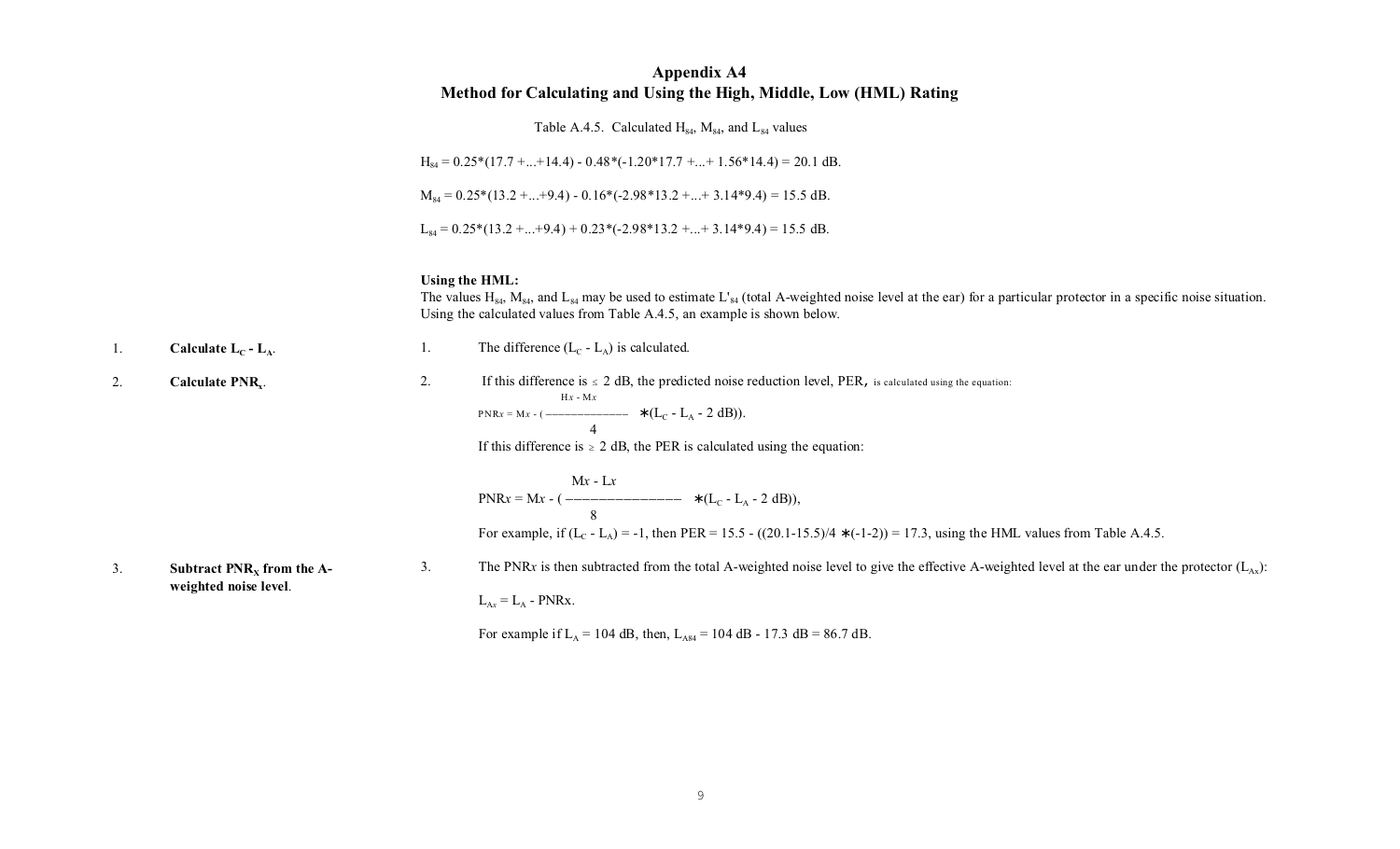|                                                                                                                                                                                                                                                                                   |                                |    | <b>Appendix A4</b><br>Method for Calculating and Using the High, Middle, Low (HML) Rating                                                                                                                   |  |  |  |  |  |  |
|-----------------------------------------------------------------------------------------------------------------------------------------------------------------------------------------------------------------------------------------------------------------------------------|--------------------------------|----|-------------------------------------------------------------------------------------------------------------------------------------------------------------------------------------------------------------|--|--|--|--|--|--|
|                                                                                                                                                                                                                                                                                   |                                |    | Table A.4.5. Calculated $H84$ , $M84$ , and $L84$ values                                                                                                                                                    |  |  |  |  |  |  |
| $H_{84} = 0.25*(17.7 +  + 14.4) - 0.48*(-1.20*17.7 +  + 1.56*14.4) = 20.1 dB.$                                                                                                                                                                                                    |                                |    |                                                                                                                                                                                                             |  |  |  |  |  |  |
|                                                                                                                                                                                                                                                                                   |                                |    | $M_{84} = 0.25*(13.2 +  + 9.4) - 0.16*(-2.98*13.2 +  + 3.14*9.4) = 15.5 dB.$                                                                                                                                |  |  |  |  |  |  |
|                                                                                                                                                                                                                                                                                   |                                |    | $L_{84} = 0.25*(13.2 +  + 9.4) + 0.23*(-2.98*13.2 +  + 3.14*9.4) = 15.5$ dB.                                                                                                                                |  |  |  |  |  |  |
| Using the HML:<br>The values $H_{84}$ , $M_{84}$ , and $L_{84}$ may be used to estimate $L'_{84}$ (total A-weighted noise level at the ear) for a particular protector in a specific noise situation.<br>Using the calculated values from Table A.4.5, an example is shown below. |                                |    |                                                                                                                                                                                                             |  |  |  |  |  |  |
| 1.                                                                                                                                                                                                                                                                                | Calculate $L_c$ - $L_A$ .      | 1. | The difference $(L_C - L_A)$ is calculated.                                                                                                                                                                 |  |  |  |  |  |  |
| 2.                                                                                                                                                                                                                                                                                | Calculate PNR <sub>y</sub> .   | 2. | If this difference is $\leq 2$ dB, the predicted noise reduction level, PER, is calculated using the equation:<br>$Hx - Mx$<br>If this difference is $\geq 2$ dB, the PER is calculated using the equation: |  |  |  |  |  |  |
|                                                                                                                                                                                                                                                                                   |                                |    | $Mx - Lx$<br>For example, if $(L_c - L_A) = -1$ , then PER = 15.5 - $((20.1 - 15.5)/4$ $(-1 - 2)) = 17.3$ , using the HML values from Table A.4.5.                                                          |  |  |  |  |  |  |
| 3.                                                                                                                                                                                                                                                                                | Subtract $PNR_{x}$ from the A- | 3. | The PNRx is then subtracted from the total A-weighted noise level to give the effective A-weighted level at the ear under the protector $(L_{\alpha})$ :                                                    |  |  |  |  |  |  |
|                                                                                                                                                                                                                                                                                   | weighted noise level.          |    | $L_{Ax} = L_A$ - PNRx.                                                                                                                                                                                      |  |  |  |  |  |  |
|                                                                                                                                                                                                                                                                                   |                                |    | For example if $L_A = 104$ dB, then, $L_{A84} = 104$ dB - 17.3 dB = 86.7 dB.                                                                                                                                |  |  |  |  |  |  |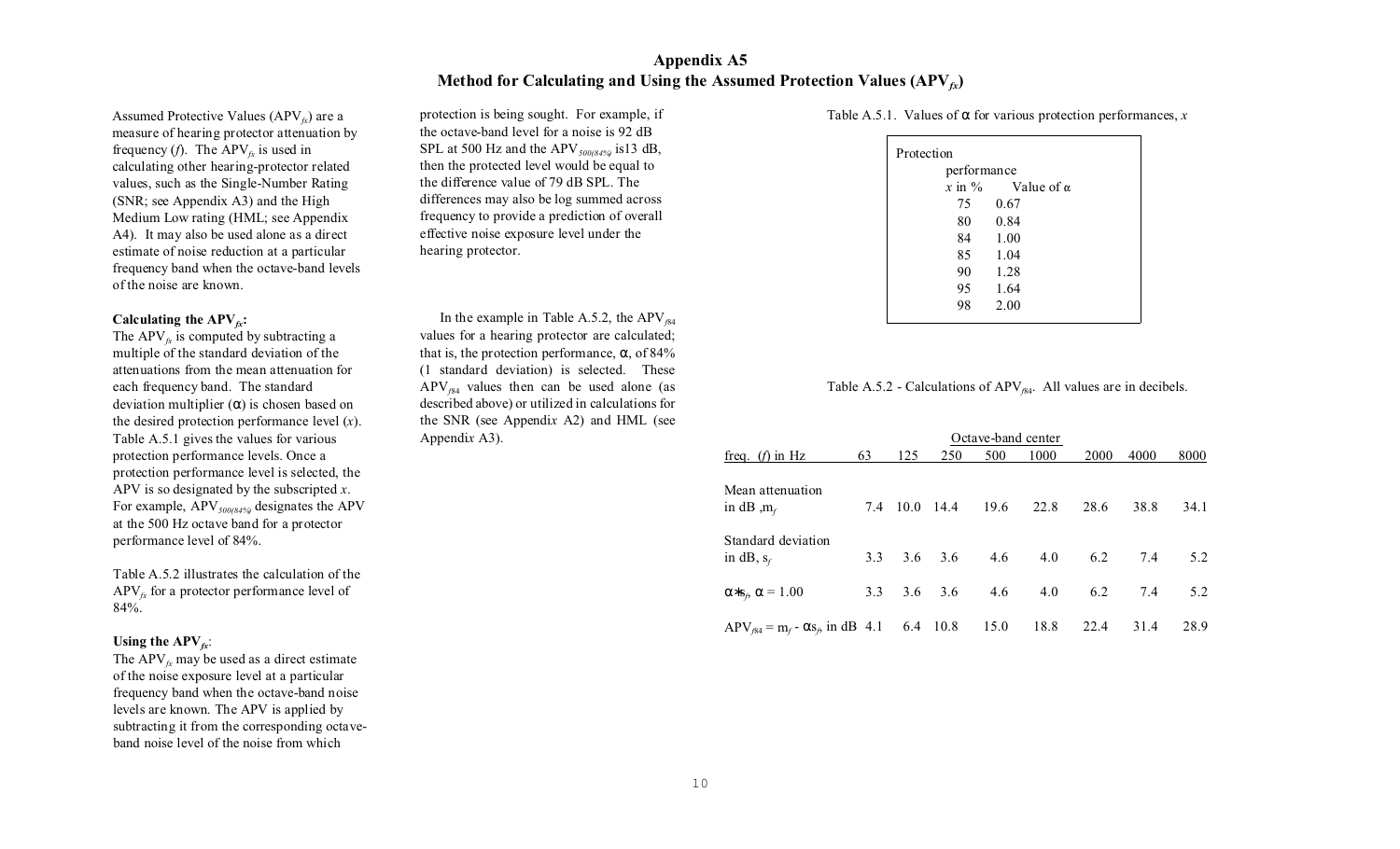# **Appendix A5 Method for Calculating and Using the Assumed Protection Values (APV***fx***)**

Assumed Protective Values (APV<sub>fx</sub>) are a measure of hearing protector attenuation by frequency (*f*). The APV $<sub>f</sub>$  is used in</sub> calculating other hearing-protector related values, such as the Single-Number Rating (SNR; see Appendix A3) and the High Medium Low rating (HML; see Appendix A4). It may also be used alone as a direct estimate of noise reduction at a particular frequency band when the octave-band levels of the noise are known.

### **Calculating the APV** $f_k$ **:**

The APV $<sub>f</sub>$  is computed by subtracting a</sub> multiple of the standard deviation of the attenuations from the mean attenuation for each frequency band. The standard deviation multiplier ( ) is chosen based on the desired protection performance level (*x*). Table A.5.1 gives the values for various protection performance levels. Once a protection performance level is selected, the APV is so designated by the subscripted *x*. For example, APV*500(84%)* designates the APV at the 500 Hz octave band for a protector performance level of 84%.

Table A.5.2 illustrates the calculation of the  $APV<sub>f<sub>x</sub></sub>$  for a protector performance level of 84%.

#### **Using the APV** $_{f_{\mathcal{K}}}$ :

The  $APV_f$ <sub>x</sub> may be used as a direct estimate of the noise exposure level at a particular frequency band when the octave-band noise levels are known. The APV is applied by subtracting it from the corresponding octaveband noise level of the noise from which

protection is being sought. For example, if the octave-band level for a noise is 92 dB SPL at 500 Hz and the APV*500(84%)* is13 dB, then the protected level would be equal to the difference value of 79 dB SPL. The differences may also be log summed across frequency to provide a prediction of overall effective noise exposure level under the hearing protector.

In the example in Table A.5.2, the  $APV<sub>RA</sub>$ values for a hearing protector are calculated; that is, the protection performance, , of 84% (1 standard deviation) is selected. These APV*<sup>f</sup>*<sup>84</sup> values then can be used alone (as described above) or utilized in calculations for the SNR (see Appendi*x* A2) and HML (see Appendi*x* A3).

Table A.5.1. Values of for various protection performances, *x* 

| Protection  |                   |
|-------------|-------------------|
| performance |                   |
| $x$ in $\%$ | Value of $\alpha$ |
| 75          | 0.67              |
| 80          | 0.84              |
| 84          | 1.00              |
| 85          | 1.04              |
| 90          | 1.28              |
| 95          | 1.64              |
| 98          | 2.00              |
|             |                   |

### Table A.5.2 - Calculations of  $APV<sub>BA</sub>$ . All values are in decibels.

|                                                  |     |           |     | Octave-band center |      |      |      |      |
|--------------------------------------------------|-----|-----------|-----|--------------------|------|------|------|------|
| freq. $(f)$ in Hz                                | 63  | 125       | 250 | 500                | 1000 | 2000 | 4000 | 8000 |
| Mean attenuation<br>in dB , $m_f$                | 7.4 | 10.0 14.4 |     | 19.6               | 22.8 | 28.6 | 38.8 | 34.1 |
| Standard deviation<br>in dB, $s_f$               | 3.3 | 3.6       | 3.6 | 4.6                | 4.0  | 6.2  | 7.4  | 5.2  |
| $= 1.00$<br>$S_f$                                | 3.3 | 3.6       | 3.6 | 4.6                | 4.0  | 6.2  | 7.4  | 5.2  |
| $APV_{64} = m_f - s_f$ , in dB 4.1 6.4 10.8 15.0 |     |           |     |                    | 18.8 | 22.4 | 31.4 | 28.9 |